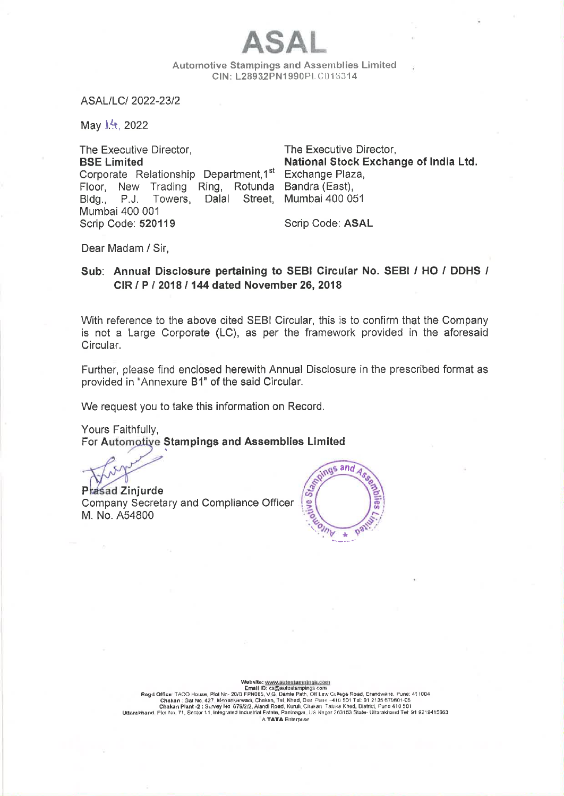Automotive Stampings and Assemblies Limited CIN: L28932PN1990P1.C015314

ASAL

ASAL/LC/ 2022-23/2

May  $14$ , 2022

The Executive Director, The Executive Director, BSE Limited National Stock Exchange of India Ltd. Corporate Relationship Department, 1<sup>st</sup> Exchange Plaza, Floor, New Trading Ring, Rotunda Bandra (East), Bldg., P.J. Towers, Dalal Street, Mumbai 400 051 Mumbai 400 001 Scrip Code: 520119 Scrip Code: ASAL

Dear Madam / Sir,

### Sub: Annual Disclosure pertaining to SEBI Circular No. SEBI / HO / DDHS / CIR / P/ 2018 / 144 dated November 26, 2018

With reference to the above cited SEBI Circular, this is to confirm that the Company is not a Large Corporate (LC), as per the framework provided in the aforesaid Circular.

Further, please find enclosed herewith Annual Disclosure in the prescribed format as provided in "Annexure B1" of the said Circular.

We request you to take this information on Record.

Yours Faithfully, For Automotive Stampings and Assemblies Limited

 $\frac{1}{2}$ Prasad Zinjurde<br>Company Secretary and Compliance Officer  $\frac{1}{\sqrt{2}}\sqrt{\frac{1}{N}}$ M. No. A54800 =



 $\frac{1}{2}$ Website: www.autostampings.com<br>Email D: cs@autostampings.com<br>FRIGES (Discussed Path, Of Law College Road, Erandwane, Pune: 411004<br>Chakan : Gat No. 427. Menankarwadi, Chakan, Tal. Khed, Dist. Pune: -410 501 Tal: 91 2135 679 A TATA Enterprise